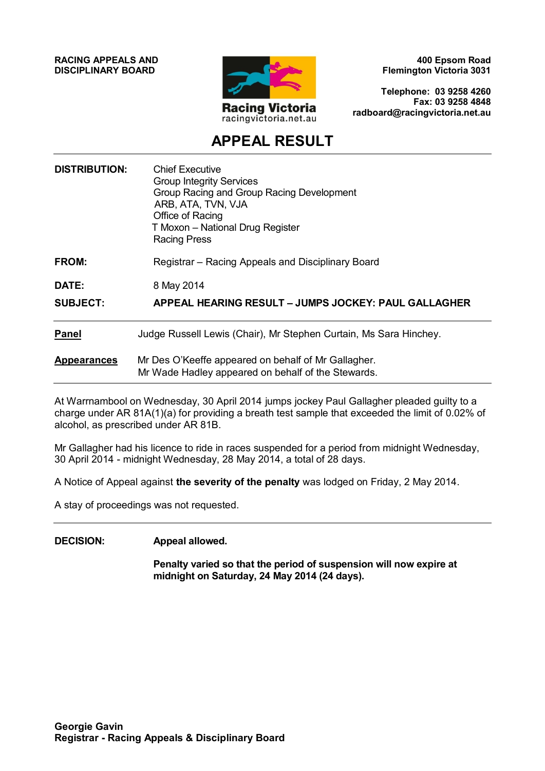**RACING APPEALS AND DISCIPLINARY BOARD**



**400 Epsom Road Flemington Victoria 3031**

**Telephone: 03 9258 4260 Fax: 03 9258 4848 radboard@racingvictoria.net.au**

## **APPEAL RESULT**

| <b>Chief Executive</b><br><b>Group Integrity Services</b><br>Group Racing and Group Racing Development<br>ARB, ATA, TVN, VJA<br>Office of Racing<br>T Moxon - National Drug Register<br><b>Racing Press</b> |
|-------------------------------------------------------------------------------------------------------------------------------------------------------------------------------------------------------------|
| Registrar - Racing Appeals and Disciplinary Board                                                                                                                                                           |
| 8 May 2014                                                                                                                                                                                                  |
| <b>APPEAL HEARING RESULT - JUMPS JOCKEY: PAUL GALLAGHER</b>                                                                                                                                                 |
| Judge Russell Lewis (Chair), Mr Stephen Curtain, Ms Sara Hinchey.                                                                                                                                           |
| Mr Des O'Keeffe appeared on behalf of Mr Gallagher.<br>Mr Wade Hadley appeared on behalf of the Stewards.                                                                                                   |
|                                                                                                                                                                                                             |

At Warrnambool on Wednesday, 30 April 2014 jumps jockey Paul Gallagher pleaded guilty to a charge under AR 81A(1)(a) for providing a breath test sample that exceeded the limit of 0.02% of alcohol, as prescribed under AR 81B.

Mr Gallagher had his licence to ride in races suspended for a period from midnight Wednesday, 30 April 2014 - midnight Wednesday, 28 May 2014, a total of 28 days.

A Notice of Appeal against **the severity of the penalty** was lodged on Friday, 2 May 2014.

A stay of proceedings was not requested.

#### **DECISION: Appeal allowed.**

**Penalty varied so that the period of suspension will now expire at midnight on Saturday, 24 May 2014 (24 days).**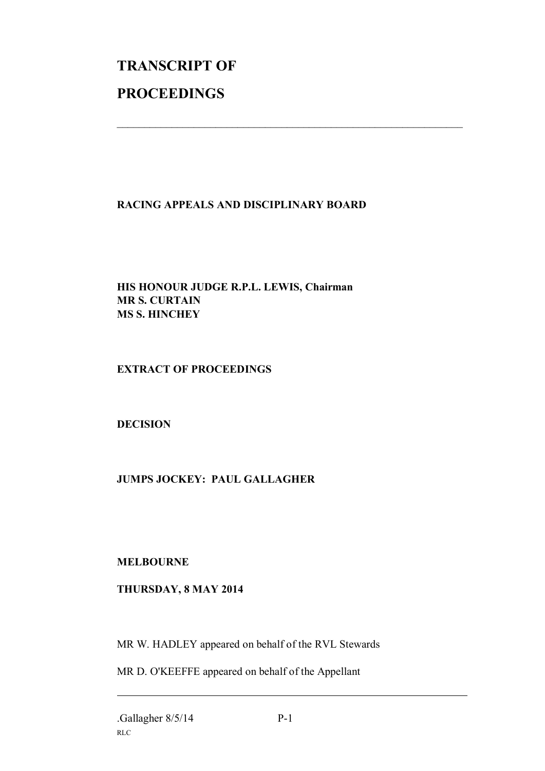# **TRANSCRIPT OF PROCEEDINGS**

#### **RACING APPEALS AND DISCIPLINARY BOARD**

 $\mathcal{L}_\text{max}$  , and the contribution of the contribution of the contribution of the contribution of the contribution of the contribution of the contribution of the contribution of the contribution of the contribution of t

#### **HIS HONOUR JUDGE R.P.L. LEWIS, Chairman MR S. CURTAIN MS S. HINCHEY**

#### **EXTRACT OF PROCEEDINGS**

#### **DECISION**

### **JUMPS JOCKEY: PAUL GALLAGHER**

#### **MELBOURNE**

#### **THURSDAY, 8 MAY 2014**

MR W. HADLEY appeared on behalf of the RVL Stewards

MR D. O'KEEFFE appeared on behalf of the Appellant